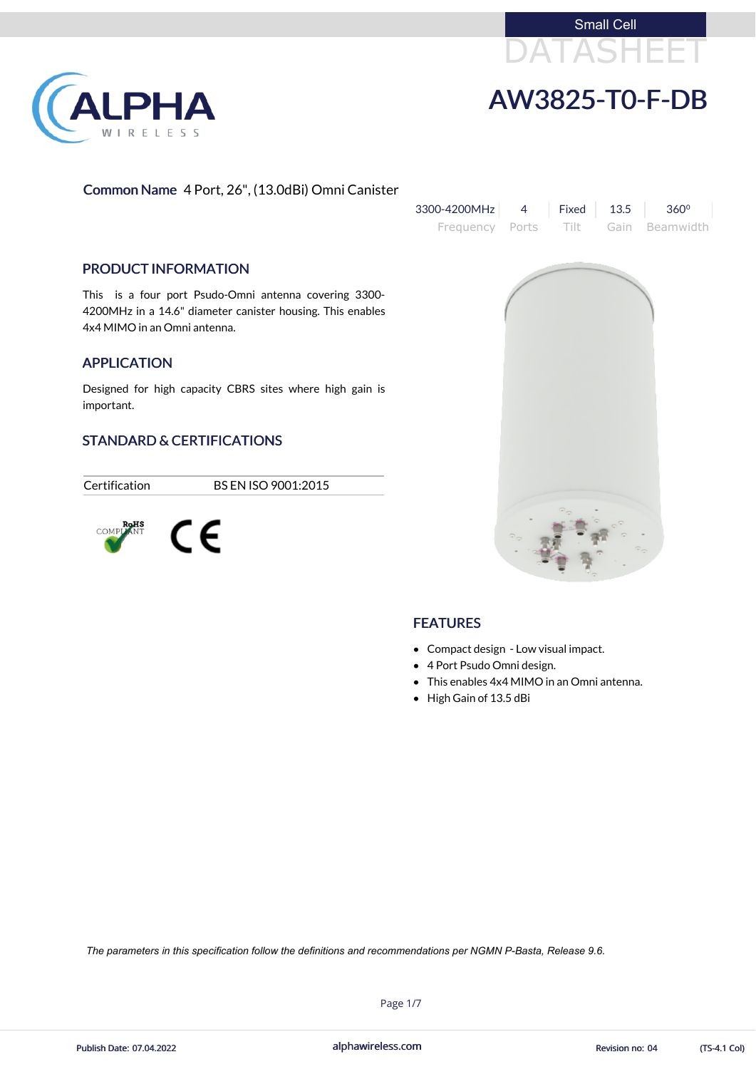



# AW3825-T0-F-DB

#### Common Name 4 Port, 26", (13.0dBi) Omni Canister



#### **FEATURES**

#### PRODUCT INFORMATION

This is a four port Psudo-Omni antenna covering 3300- 4200MHz in a 14.6" diameter canister housing. This enables 4x4 MIMO in an Omni antenna.

#### APPLICATION

Designed for high capacity CBRS sites where high gain is important.

#### STANDARD & CERTIFICATIONS

Certification BS EN ISO 9001:2015



- Compact design Low visual impact.
- 4 Port Psudo Omni design.
- This enables 4x4 MIMO in an Omni antenna.
- High Gain of 13.5 dBi

alphawireless.com

Page 1/7



*The parameters in this specification follow the definitions and recommendations per NGMN P-Basta, Release 9.6.*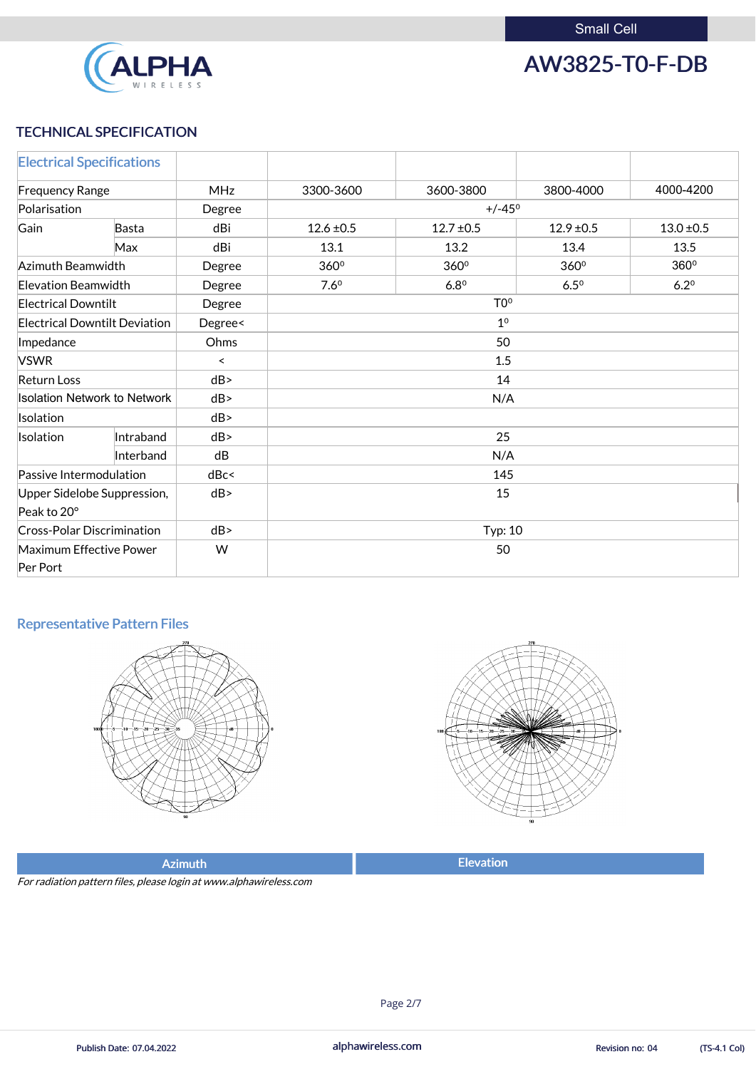

AW3825-T0-F-DB

#### TECHNICAL SPECIFICATION

| <b>Electrical Specifications</b>           |           |            |                  |                  |                |                |
|--------------------------------------------|-----------|------------|------------------|------------------|----------------|----------------|
| <b>Frequency Range</b>                     |           | <b>MHz</b> | 3300-3600        | 3600-3800        | 3800-4000      | 4000-4200      |
| Polarisation                               |           | Degree     | $+/-45^{\circ}$  |                  |                |                |
| Gain                                       | Basta     | dBi        | $12.6 \pm 0.5$   | $12.7 \pm 0.5$   | $12.9 \pm 0.5$ | $13.0 \pm 0.5$ |
|                                            | Max       | dBi        | 13.1             | 13.2             | 13.4           | 13.5           |
| Azimuth Beamwidth                          |           | Degree     | $360^\circ$      | 360 <sup>°</sup> | 360°           | 360°           |
| <b>Elevation Beamwidth</b>                 |           | Degree     | 7.6 <sup>0</sup> | 6.8 <sup>0</sup> | $6.5^\circ$    | $6.2^{\circ}$  |
| <b>Electrical Downtilt</b>                 |           | Degree     | T <sub>0</sub> ° |                  |                |                |
| <b>Electrical Downtilt Deviation</b>       |           | Degree<    | 1 <sup>0</sup>   |                  |                |                |
| Impedance                                  |           | Ohms       | 50               |                  |                |                |
| <b>VSWR</b>                                |           | $\prec$    | 1.5              |                  |                |                |
| <b>Return Loss</b>                         |           | dB         | 14               |                  |                |                |
| <b>Isolation Network to Network</b>        |           | dB         | N/A              |                  |                |                |
| Isolation                                  |           | dB         |                  |                  |                |                |
| <b>Isolation</b>                           | Intraband | dB         | 25               |                  |                |                |
|                                            | Interband | dB         | N/A              |                  |                |                |
| Passive Intermodulation                    |           | dBc<       | 145              |                  |                |                |
| Upper Sidelobe Suppression,                |           | dB         | 15               |                  |                |                |
| Peak to 20°                                |           |            |                  |                  |                |                |
| <b>Cross-Polar Discrimination</b>          |           | dB         | <b>Typ: 10</b>   |                  |                |                |
| <b>Maximum Effective Power</b><br>Per Port |           | W          | 50               |                  |                |                |

### Representative Pattern Files









| <b>Flevation</b><br>$\Delta$ zimuth |
|-------------------------------------|
|-------------------------------------|

For radiation pattern files, please login at www.alphawireless.com

alphawireless.com

Publish Date: 07.04.2022 **Revision no: 04** TS-4.1 Col)

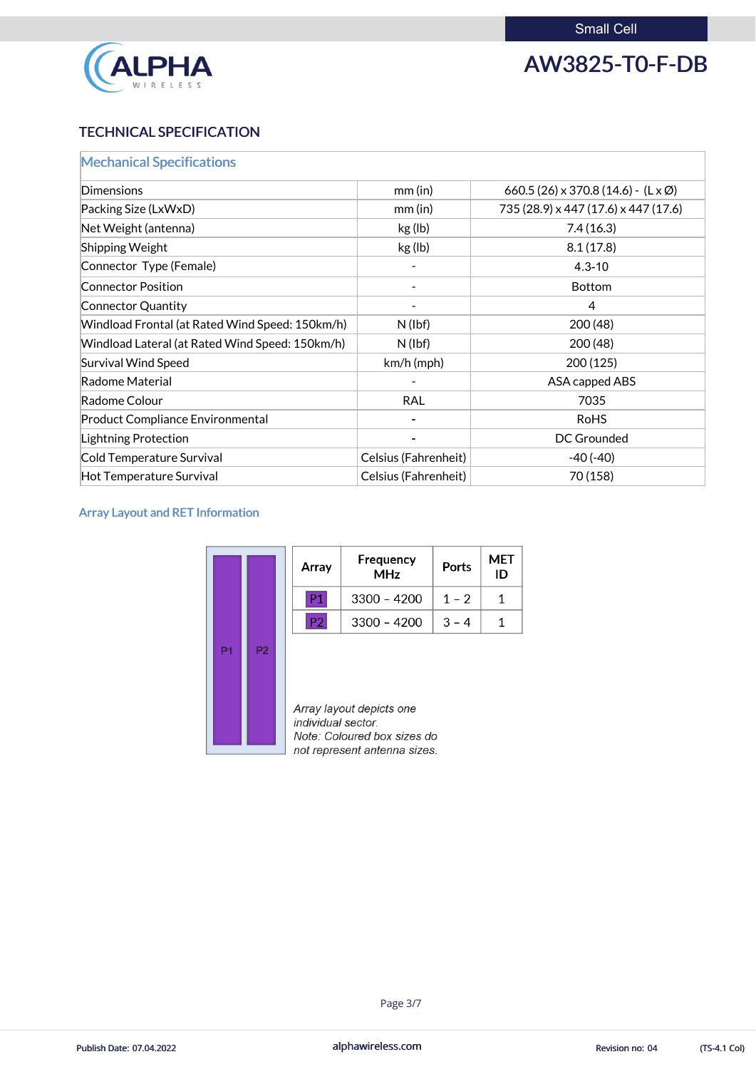

AW3825-T0-F-DB

### TECHNICAL SPECIFICATION

| <b>Mechanical Specifications</b>                |                      |                                                    |
|-------------------------------------------------|----------------------|----------------------------------------------------|
| <b>Dimensions</b>                               | $mm$ (in)            | 660.5 (26) x 370.8 (14.6) - $(L \times \emptyset)$ |
| Packing Size (LxWxD)                            | $mm$ (in)            | 735 (28.9) x 447 (17.6) x 447 (17.6)               |
| Net Weight (antenna)                            | kg (lb)              | 7.4(16.3)                                          |
| Shipping Weight                                 | kg (lb)              | 8.1(17.8)                                          |
| Connector Type (Female)                         |                      | $4.3 - 10$                                         |
| <b>Connector Position</b>                       |                      | <b>Bottom</b>                                      |
| Connector Quantity                              |                      | $\overline{4}$                                     |
| Windload Frontal (at Rated Wind Speed: 150km/h) | $N$ (lbf)            | 200(48)                                            |
| Windload Lateral (at Rated Wind Speed: 150km/h) | $N$ (lbf)            | 200 (48)                                           |
| <b>Survival Wind Speed</b>                      | $km/h$ (mph)         | 200(125)                                           |
| Radome Material                                 |                      | ASA capped ABS                                     |
| Radome Colour                                   | <b>RAL</b>           | 7035                                               |
| <b>Product Compliance Environmental</b>         |                      | <b>RoHS</b>                                        |
| <b>Lightning Protection</b>                     |                      | <b>DC Grounded</b>                                 |
| Cold Temperature Survival                       | Celsius (Fahrenheit) | $-40(-40)$                                         |
| Hot Temperature Survival                        | Celsius (Fahrenheit) | 70 (158)                                           |

#### Array Layout and RET Information

|                |                | Array              | Frequency<br><b>MHz</b>                                 | Ports   | MET<br>ID |
|----------------|----------------|--------------------|---------------------------------------------------------|---------|-----------|
|                |                | P1                 | $3300 - 4200$                                           | $1 - 2$ | 1         |
|                |                | P <sub>2</sub>     | $3300 - 4200$                                           | $3 - 4$ |           |
| P <sub>1</sub> | P <sub>2</sub> | individual sector. | Array layout depicts one<br>Note: Coloured box sizes do |         |           |

 $\Box$  not represent antenna sizes.

alphawireless.com



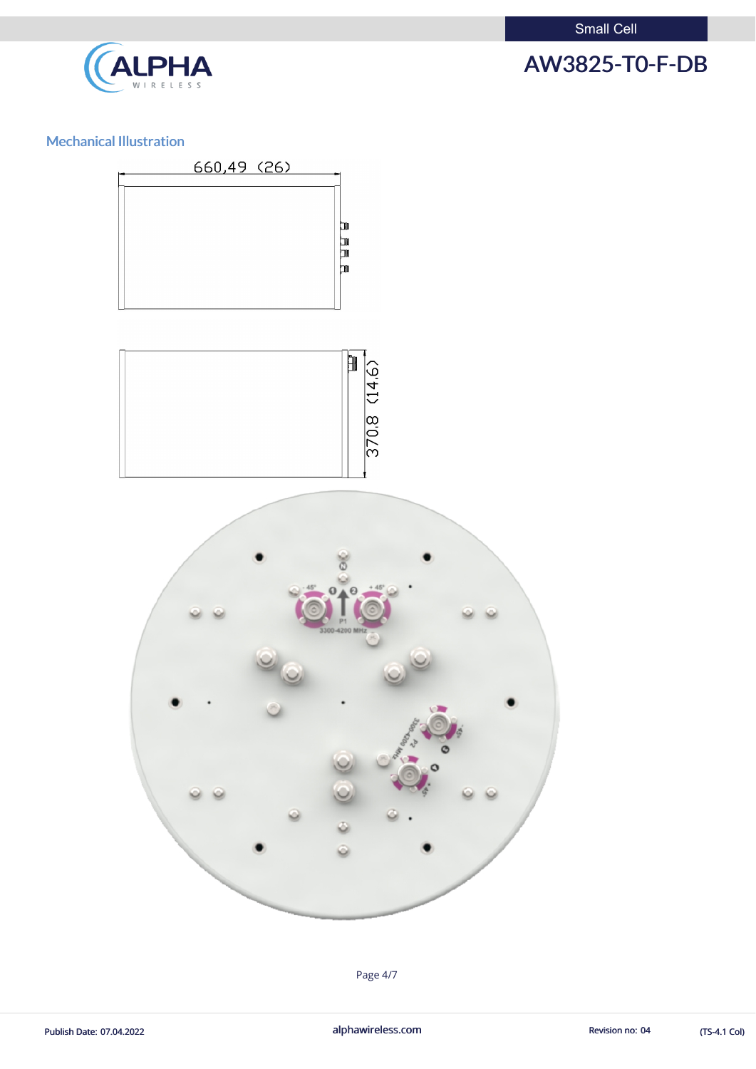

#### Mechanical Illustration

ALPHA





Page 4/7

Publish Date: 07.04.2022 **alphawireless.com** alphawireless.com Revision no: 04 (TS-4.1 Col)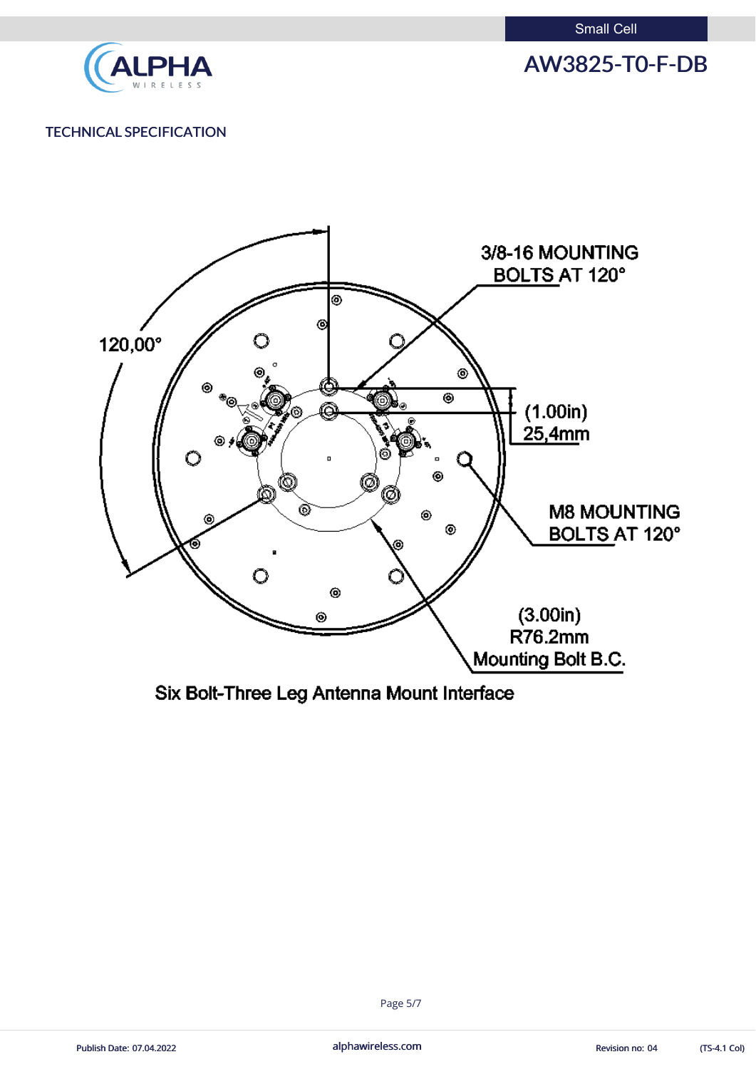

AW3825-T0-F-DB

#### TECHNICAL SPECIFICATION



Six Bolt-Three Leg Antenna Mount Interface

alphawireless.com



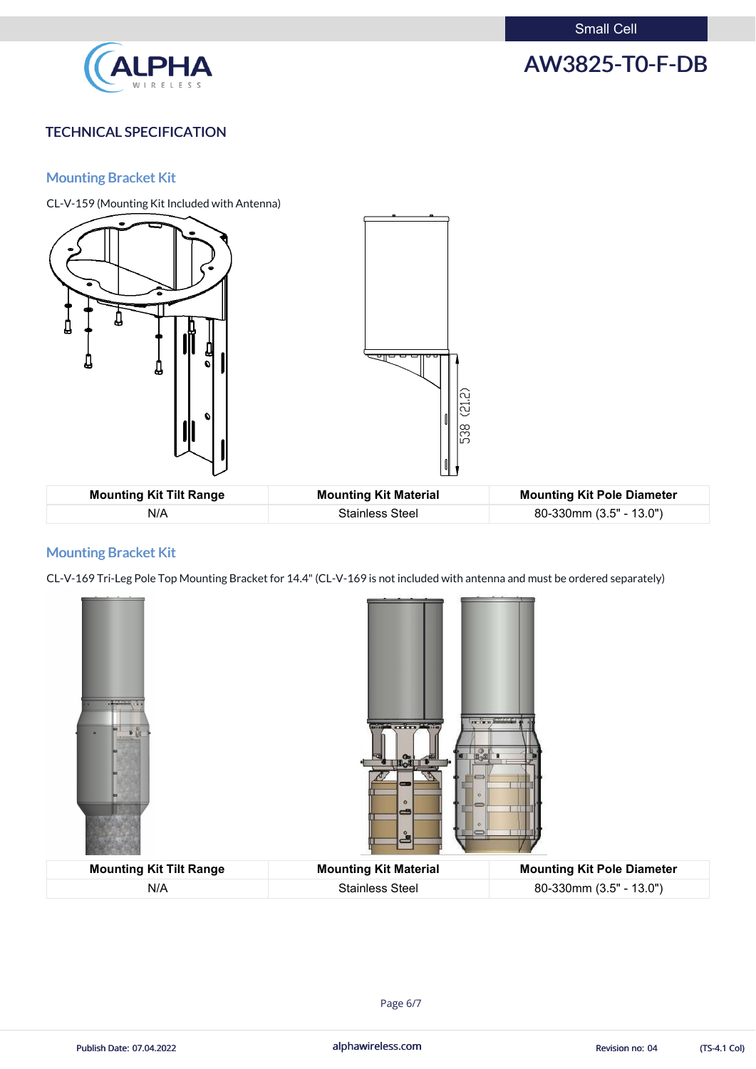

## AW3825-T0-F-DB

#### TECHNICAL SPECIFICATION

#### Mounting Bracket Kit

CL-V-159 (Mounting Kit Included with Antenna)



N/A Stainless Steel 80-330mm (3.5" - 13.0")

#### Mounting Bracket Kit

CL-V-169 Tri-Leg Pole Top Mounting Bracket for 14.4"(CL-V-169 is not included with antenna and must be ordered separately)





| <b>Mounting Kit Tilt Range</b> | <b>Mounting Kit Material</b> | <b>Mounting Kit Pole Diameter</b> |
|--------------------------------|------------------------------|-----------------------------------|
| N/A                            | <b>Stainless Steel</b>       | 80-330mm (3.5" - 13.0")           |

alphawireless.com